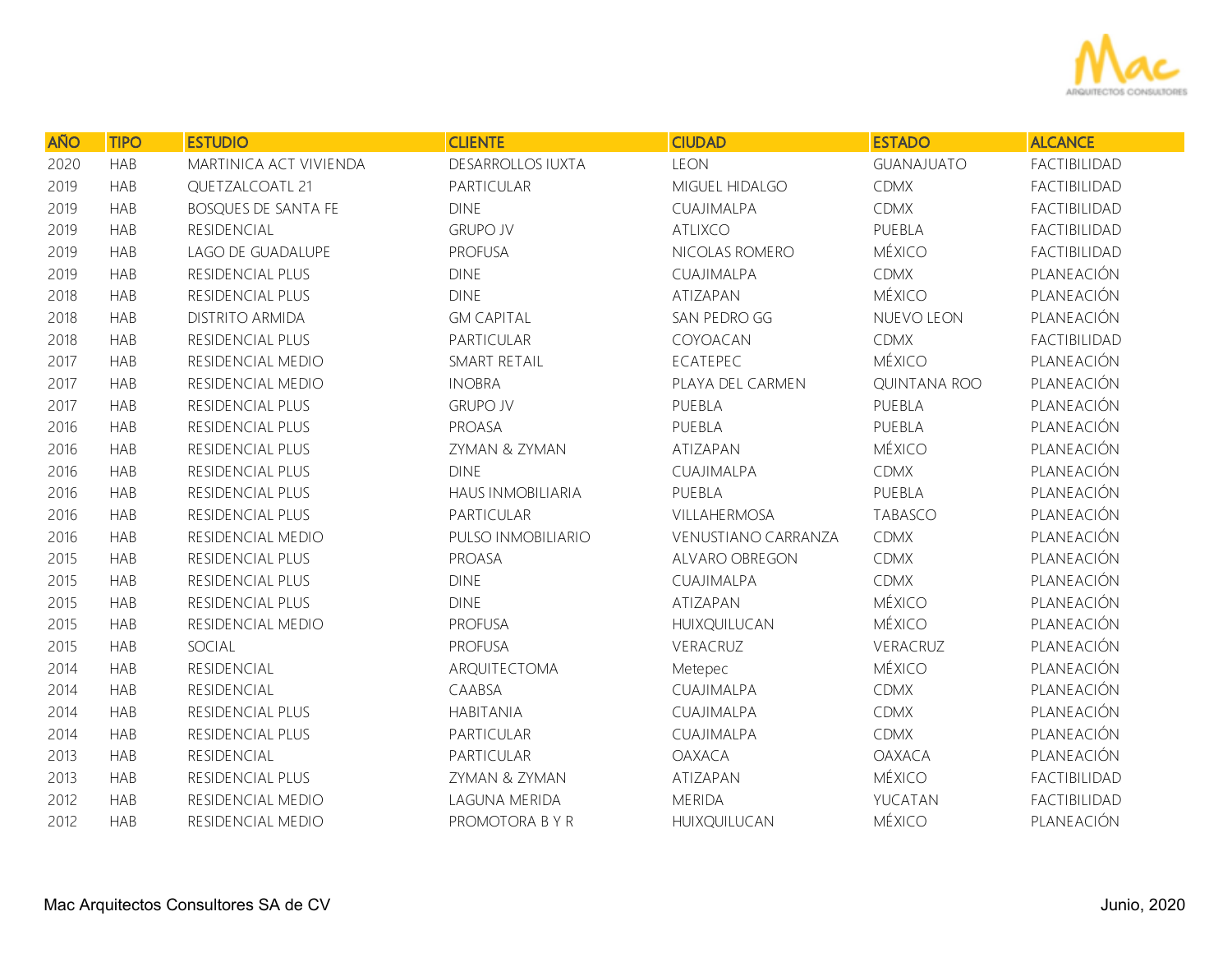

| <b>AÑO</b> | <b>TIPO</b> | <b>ESTUDIO</b>             | <b>CLIENTE</b>           | <b>CIUDAD</b>       | <b>ESTADO</b>       | <b>ALCANCE</b>      |
|------------|-------------|----------------------------|--------------------------|---------------------|---------------------|---------------------|
| 2020       | <b>HAB</b>  | MARTINICA ACT VIVIENDA     | DESARROLLOS IUXTA        | <b>LEON</b>         | <b>GUANAJUATO</b>   | FACTIBILIDAD        |
| 2019       | <b>HAB</b>  | QUETZALCOATL 21            | PARTICULAR               | MIGUEL HIDALGO      | <b>CDMX</b>         | FACTIBILIDAD        |
| 2019       | <b>HAB</b>  | <b>BOSQUES DE SANTA FE</b> | <b>DINE</b>              | CUAJIMALPA          | <b>CDMX</b>         | FACTIBILIDAD        |
| 2019       | <b>HAB</b>  | RESIDENCIAL                | <b>GRUPO JV</b>          | <b>ATLIXCO</b>      | PUEBLA              | <b>FACTIBILIDAD</b> |
| 2019       | <b>HAB</b>  | LAGO DE GUADALUPE          | <b>PROFUSA</b>           | NICOLAS ROMERO      | <b>MÉXICO</b>       | <b>FACTIBILIDAD</b> |
| 2019       | <b>HAB</b>  | RESIDENCIAL PLUS           | <b>DINE</b>              | CUAJIMALPA          | <b>CDMX</b>         | PLANEACIÓN          |
| 2018       | <b>HAB</b>  | RESIDENCIAL PLUS           | <b>DINE</b>              | ATIZAPAN            | <b>MÉXICO</b>       | PLANEACIÓN          |
| 2018       | <b>HAB</b>  | <b>DISTRITO ARMIDA</b>     | <b>GM CAPITAL</b>        | SAN PEDRO GG        | NUEVO LEON          | PLANEACIÓN          |
| 2018       | <b>HAB</b>  | RESIDENCIAL PLUS           | PARTICULAR               | COYOACAN            | <b>CDMX</b>         | FACTIBILIDAD        |
| 2017       | <b>HAB</b>  | RESIDENCIAL MEDIO          | SMART RETAIL             | ECATEPEC            | <b>MÉXICO</b>       | PLANEACIÓN          |
| 2017       | <b>HAB</b>  | RESIDENCIAL MEDIO          | <b>INOBRA</b>            | PLAYA DEL CARMEN    | <b>QUINTANA ROO</b> | PLANEACIÓN          |
| 2017       | <b>HAB</b>  | RESIDENCIAL PLUS           | <b>GRUPO JV</b>          | PUEBLA              | PUEBLA              | PLANEACIÓN          |
| 2016       | <b>HAB</b>  | RESIDENCIAL PLUS           | PROASA                   | PUEBLA              | PUEBLA              | PLANEACIÓN          |
| 2016       | <b>HAB</b>  | RESIDENCIAL PLUS           | ZYMAN & ZYMAN            | ATIZAPAN            | <b>MÉXICO</b>       | PLANEACIÓN          |
| 2016       | <b>HAB</b>  | RESIDENCIAL PLUS           | <b>DINE</b>              | CUAJIMALPA          | <b>CDMX</b>         | PLANEACIÓN          |
| 2016       | <b>HAB</b>  | RESIDENCIAL PLUS           | <b>HAUS INMOBILIARIA</b> | PUEBLA              | PUEBLA              | PLANEACIÓN          |
| 2016       | <b>HAB</b>  | RESIDENCIAL PLUS           | PARTICULAR               | <b>VILLAHERMOSA</b> | TABASCO             | PLANEACIÓN          |
| 2016       | <b>HAB</b>  | RESIDENCIAL MEDIO          | PULSO INMOBILIARIO       | VENUSTIANO CARRANZA | <b>CDMX</b>         | PLANEACIÓN          |
| 2015       | <b>HAB</b>  | RESIDENCIAL PLUS           | PROASA                   | ALVARO OBREGON      | <b>CDMX</b>         | PLANEACIÓN          |
| 2015       | <b>HAB</b>  | RESIDENCIAL PLUS           | <b>DINE</b>              | CUAJIMALPA          | <b>CDMX</b>         | PLANEACIÓN          |
| 2015       | <b>HAB</b>  | RESIDENCIAL PLUS           | <b>DINE</b>              | ATIZAPAN            | <b>MÉXICO</b>       | PLANEACIÓN          |
| 2015       | <b>HAB</b>  | RESIDENCIAL MEDIO          | <b>PROFUSA</b>           | HUIXQUILUCAN        | MÉXICO              | PLANEACIÓN          |
| 2015       | <b>HAB</b>  | SOCIAL                     | <b>PROFUSA</b>           | VERACRUZ            | VERACRUZ            | PLANEACIÓN          |
| 2014       | <b>HAB</b>  | RESIDENCIAL                | ARQUITECTOMA             | Metepec             | MÉXICO              | PLANEACIÓN          |
| 2014       | <b>HAB</b>  | RESIDENCIAL                | CAABSA                   | CUAJIMALPA          | <b>CDMX</b>         | PLANEACIÓN          |
| 2014       | <b>HAB</b>  | RESIDENCIAL PLUS           | <b>HABITANIA</b>         | CUAJIMALPA          | <b>CDMX</b>         | PLANEACIÓN          |
| 2014       | <b>HAB</b>  | RESIDENCIAL PLUS           | PARTICULAR               | CUAJIMALPA          | <b>CDMX</b>         | PLANEACIÓN          |
| 2013       | <b>HAB</b>  | RESIDENCIAL                | PARTICULAR               | <b>OAXACA</b>       | <b>OAXACA</b>       | PLANEACIÓN          |
| 2013       | <b>HAB</b>  | RESIDENCIAL PLUS           | ZYMAN & ZYMAN            | ATIZAPAN            | MÉXICO              | FACTIBILIDAD        |
| 2012       | <b>HAB</b>  | RESIDENCIAL MEDIO          | LAGUNA MERIDA            | <b>MERIDA</b>       | YUCATAN             | <b>FACTIBILIDAD</b> |
| 2012       | <b>HAB</b>  | RESIDENCIAL MEDIO          | PROMOTORA B Y R          | HUIXQUILUCAN        | <b>MÉXICO</b>       | PLANEACIÓN          |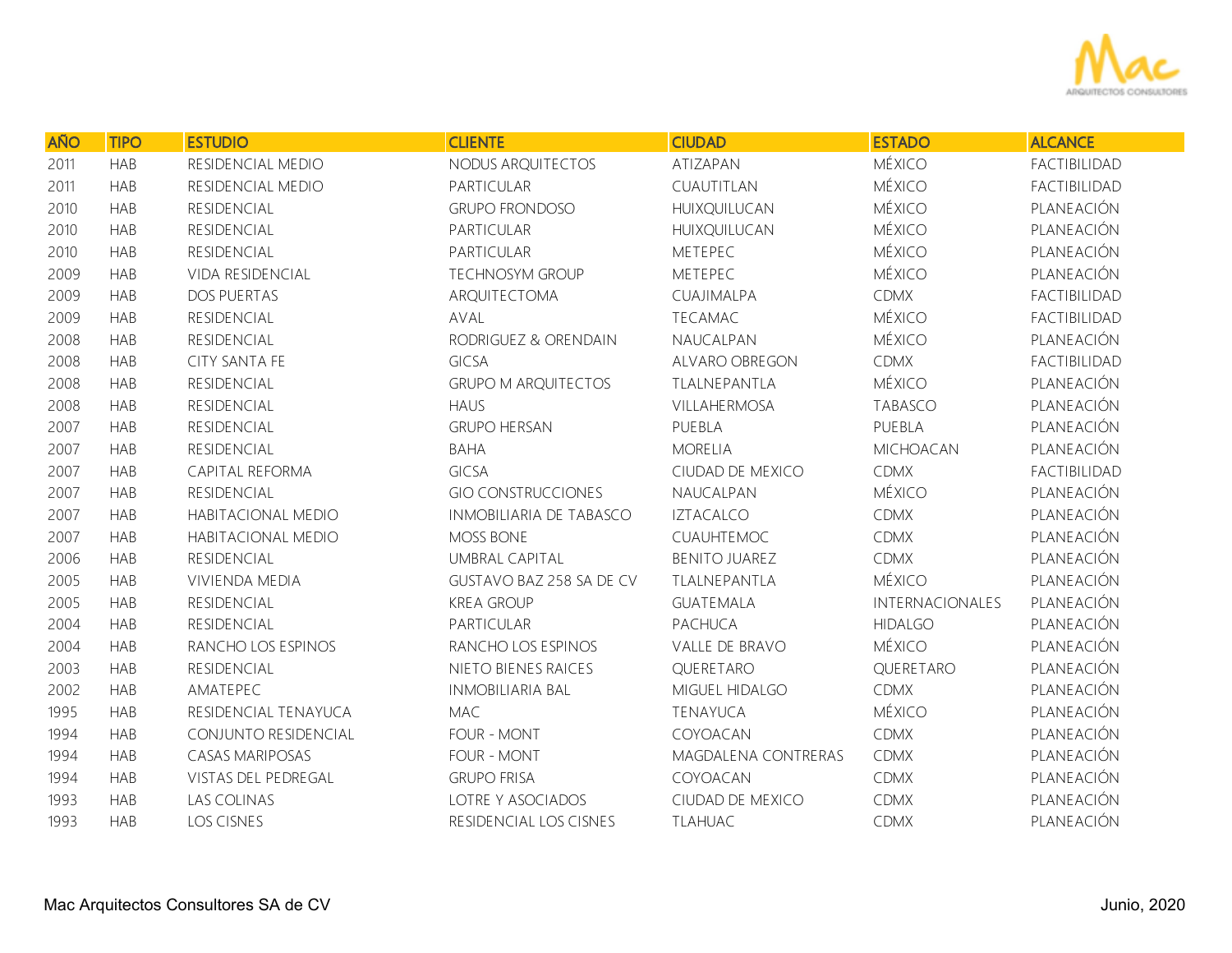

| AÑO  | <b>TIPO</b> | <b>ESTUDIO</b>          | <b>CLIENTE</b>             | <b>CIUDAD</b>        | <b>ESTADO</b>   | <b>ALCANCE</b> |
|------|-------------|-------------------------|----------------------------|----------------------|-----------------|----------------|
| 2011 | <b>HAB</b>  | RESIDENCIAL MEDIO       | NODUS ARQUITECTOS          | ATIZAPAN             | MÉXICO          | FACTIBILIDAD   |
| 2011 | <b>HAB</b>  | RESIDENCIAL MEDIO       | PARTICULAR                 | CUAUTITLAN           | MÉXICO          | FACTIBILIDAD   |
| 2010 | <b>HAB</b>  | RESIDENCIAL             | <b>GRUPO FRONDOSO</b>      | HUIXQUILUCAN         | <b>MÉXICO</b>   | PLANEACIÓN     |
| 2010 | <b>HAB</b>  | RESIDENCIAL             | PARTICULAR                 | HUIXQUILUCAN         | MÉXICO          | PLANEACIÓN     |
| 2010 | <b>HAB</b>  | RESIDENCIAL             | PARTICULAR                 | METEPEC              | <b>MÉXICO</b>   | PLANEACIÓN     |
| 2009 | <b>HAB</b>  | <b>VIDA RESIDENCIAL</b> | <b>TECHNOSYM GROUP</b>     | METEPEC              | <b>MÉXICO</b>   | PLANEACIÓN     |
| 2009 | <b>HAB</b>  | <b>DOS PUERTAS</b>      | ARQUITECTOMA               | CUAJIMALPA           | <b>CDMX</b>     | FACTIBILIDAD   |
| 2009 | <b>HAB</b>  | RESIDENCIAL             | AVAL                       | <b>TECAMAC</b>       | <b>MÉXICO</b>   | FACTIBILIDAD   |
| 2008 | <b>HAB</b>  | RESIDENCIAL             | RODRIGUEZ & ORENDAIN       | NAUCALPAN            | <b>MÉXICO</b>   | PLANEACIÓN     |
| 2008 | <b>HAB</b>  | CITY SANTA FE           | <b>GICSA</b>               | ALVARO OBREGON       | <b>CDMX</b>     | FACTIBILIDAD   |
| 2008 | <b>HAB</b>  | RESIDENCIAL             | <b>GRUPO M ARQUITECTOS</b> | TLALNEPANTLA         | <b>MÉXICO</b>   | PLANEACIÓN     |
| 2008 | <b>HAB</b>  | RESIDENCIAL             | <b>HAUS</b>                | <b>VILLAHERMOSA</b>  | <b>TABASCO</b>  | PLANEACIÓN     |
| 2007 | <b>HAB</b>  | RESIDENCIAL             | <b>GRUPO HERSAN</b>        | PUEBLA               | PUEBLA          | PLANEACIÓN     |
| 2007 | <b>HAB</b>  | RESIDENCIAL             | <b>BAHA</b>                | <b>MORELIA</b>       | MICHOACAN       | PLANEACIÓN     |
| 2007 | <b>HAB</b>  | CAPITAL REFORMA         | <b>GICSA</b>               | CIUDAD DE MEXICO     | <b>CDMX</b>     | FACTIBILIDAD   |
| 2007 | <b>HAB</b>  | RESIDENCIAL             | <b>GIO CONSTRUCCIONES</b>  | NAUCALPAN            | <b>MÉXICO</b>   | PLANEACIÓN     |
| 2007 | <b>HAB</b>  | HABITACIONAL MEDIO      | INMOBILIARIA DE TABASCO    | <b>IZTACALCO</b>     | <b>CDMX</b>     | PLANEACIÓN     |
| 2007 | <b>HAB</b>  | HABITACIONAL MEDIO      | <b>MOSS BONE</b>           | CUAUHTEMOC           | <b>CDMX</b>     | PLANEACIÓN     |
| 2006 | <b>HAB</b>  | RESIDENCIAL             | UMBRAL CAPITAL             | <b>BENITO JUAREZ</b> | <b>CDMX</b>     | PLANEACIÓN     |
| 2005 | <b>HAB</b>  | VIVIENDA MEDIA          | GUSTAVO BAZ 258 SA DE CV   | TLALNEPANTLA         | <b>MÉXICO</b>   | PLANEACIÓN     |
| 2005 | <b>HAB</b>  | RESIDENCIAL             | <b>KREA GROUP</b>          | GUATEMALA            | INTERNACIONALES | PLANEACIÓN     |
| 2004 | <b>HAB</b>  | RESIDENCIAL             | PARTICULAR                 | PACHUCA              | <b>HIDALGO</b>  | PLANEACIÓN     |
| 2004 | <b>HAB</b>  | RANCHO LOS ESPINOS      | RANCHO LOS ESPINOS         | VALLE DE BRAVO       | <b>MÉXICO</b>   | PLANEACIÓN     |
| 2003 | <b>HAB</b>  | RESIDENCIAL             | NIETO BIENES RAICES        | QUERETARO            | QUERETARO       | PLANEACIÓN     |
| 2002 | <b>HAB</b>  | AMATEPEC                | <b>INMOBILIARIA BAL</b>    | MIGUEL HIDALGO       | <b>CDMX</b>     | PLANEACIÓN     |
| 1995 | <b>HAB</b>  | RESIDENCIAL TENAYUCA    | <b>MAC</b>                 | TENAYUCA             | <b>MÉXICO</b>   | PLANEACIÓN     |
| 1994 | <b>HAB</b>  | CONJUNTO RESIDENCIAL    | FOUR - MONT                | COYOACAN             | <b>CDMX</b>     | PLANEACIÓN     |
| 1994 | <b>HAB</b>  | <b>CASAS MARIPOSAS</b>  | <b>FOUR - MONT</b>         | MAGDALENA CONTRERAS  | <b>CDMX</b>     | PLANEACIÓN     |
| 1994 | <b>HAB</b>  | VISTAS DEL PEDREGAL     | <b>GRUPO FRISA</b>         | COYOACAN             | CDMX            | PLANEACIÓN     |
| 1993 | <b>HAB</b>  | LAS COLINAS             | LOTRE Y ASOCIADOS          | CIUDAD DE MEXICO     | <b>CDMX</b>     | PLANEACIÓN     |
| 1993 | <b>HAB</b>  | <b>LOS CISNES</b>       | RESIDENCIAL LOS CISNES     | <b>TLAHUAC</b>       | <b>CDMX</b>     | PLANEACIÓN     |